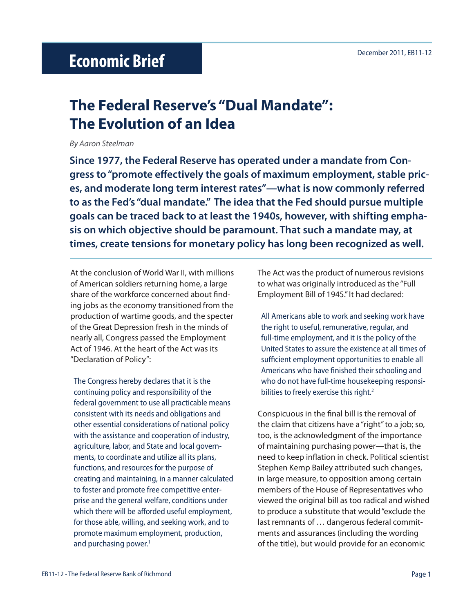## **The Federal Reserve's "Dual Mandate": The Evolution of an Idea**

## *By Aaron Steelman*

**Since 1977, the Federal Reserve has operated under a mandate from Congress to "promote effectively the goals of maximum employment, stable prices, and moderate long term interest rates"—what is now commonly referred to as the Fed's "dual mandate." The idea that the Fed should pursue multiple goals can be traced back to at least the 1940s, however, with shifting emphasis on which objective should be paramount. That such a mandate may, at times, create tensions for monetary policy has long been recognized as well.** 

At the conclusion of World War II, with millions of American soldiers returning home, a large share of the workforce concerned about finding jobs as the economy transitioned from the production of wartime goods, and the specter of the Great Depression fresh in the minds of nearly all, Congress passed the Employment Act of 1946. At the heart of the Act was its "Declaration of Policy":

The Congress hereby declares that it is the continuing policy and responsibility of the federal government to use all practicable means consistent with its needs and obligations and other essential considerations of national policy with the assistance and cooperation of industry, agriculture, labor, and State and local governments, to coordinate and utilize all its plans, functions, and resources for the purpose of creating and maintaining, in a manner calculated to foster and promote free competitive enterprise and the general welfare, conditions under which there will be afforded useful employment, for those able, willing, and seeking work, and to promote maximum employment, production, and purchasing power.<sup>1</sup>

The Act was the product of numerous revisions to what was originally introduced as the "Full Employment Bill of 1945." It had declared:

All Americans able to work and seeking work have the right to useful, remunerative, regular, and full-time employment, and it is the policy of the United States to assure the existence at all times of sufficient employment opportunities to enable all Americans who have finished their schooling and who do not have full-time housekeeping responsibilities to freely exercise this right.<sup>2</sup>

Conspicuous in the final bill is the removal of the claim that citizens have a "right" to a job; so, too, is the acknowledgment of the importance of maintaining purchasing power—that is, the need to keep inflation in check. Political scientist Stephen Kemp Bailey attributed such changes, in large measure, to opposition among certain members of the House of Representatives who viewed the original bill as too radical and wished to produce a substitute that would "exclude the last remnants of … dangerous federal commitments and assurances (including the wording of the title), but would provide for an economic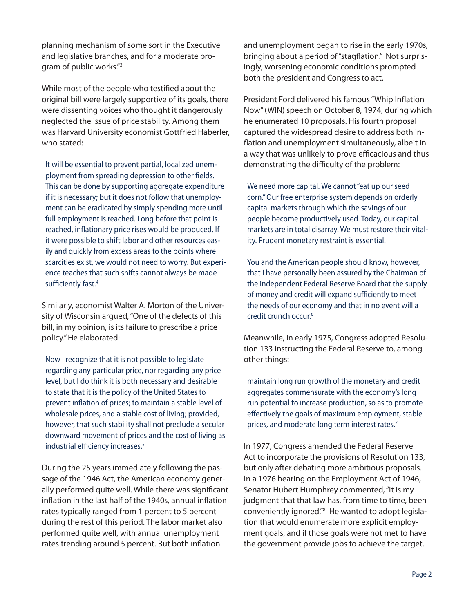planning mechanism of some sort in the Executive and legislative branches, and for a moderate program of public works."3

While most of the people who testified about the original bill were largely supportive of its goals, there were dissenting voices who thought it dangerously neglected the issue of price stability. Among them was Harvard University economist Gottfried Haberler, who stated:

It will be essential to prevent partial, localized unemployment from spreading depression to other fields. This can be done by supporting aggregate expenditure if it is necessary; but it does not follow that unemployment can be eradicated by simply spending more until full employment is reached. Long before that point is reached, inflationary price rises would be produced. If it were possible to shift labor and other resources easily and quickly from excess areas to the points where scarcities exist, we would not need to worry. But experience teaches that such shifts cannot always be made sufficiently fast.<sup>4</sup>

Similarly, economist Walter A. Morton of the University of Wisconsin argued, "One of the defects of this bill, in my opinion, is its failure to prescribe a price policy." He elaborated:

Now I recognize that it is not possible to legislate regarding any particular price, nor regarding any price level, but I do think it is both necessary and desirable to state that it is the policy of the United States to prevent inflation of prices; to maintain a stable level of wholesale prices, and a stable cost of living; provided, however, that such stability shall not preclude a secular downward movement of prices and the cost of living as industrial efficiency increases.<sup>5</sup>

During the 25 years immediately following the passage of the 1946 Act, the American economy generally performed quite well. While there was significant inflation in the last half of the 1940s, annual inflation rates typically ranged from 1 percent to 5 percent during the rest of this period. The labor market also performed quite well, with annual unemployment rates trending around 5 percent. But both inflation

and unemployment began to rise in the early 1970s, bringing about a period of "stagflation." Not surprisingly, worsening economic conditions prompted both the president and Congress to act.

President Ford delivered his famous "Whip Inflation Now" (WIN) speech on October 8, 1974, during which he enumerated 10 proposals. His fourth proposal captured the widespread desire to address both inflation and unemployment simultaneously, albeit in a way that was unlikely to prove efficacious and thus demonstrating the difficulty of the problem:

We need more capital. We cannot "eat up our seed corn." Our free enterprise system depends on orderly capital markets through which the savings of our people become productively used. Today, our capital markets are in total disarray. We must restore their vitality. Prudent monetary restraint is essential.

You and the American people should know, however, that I have personally been assured by the Chairman of the independent Federal Reserve Board that the supply of money and credit will expand sufficiently to meet the needs of our economy and that in no event will a credit crunch occur.<sup>6</sup>

Meanwhile, in early 1975, Congress adopted Resolution 133 instructing the Federal Reserve to, among other things:

maintain long run growth of the monetary and credit aggregates commensurate with the economy's long run potential to increase production, so as to promote effectively the goals of maximum employment, stable prices, and moderate long term interest rates.<sup>7</sup>

In 1977, Congress amended the Federal Reserve Act to incorporate the provisions of Resolution 133, but only after debating more ambitious proposals. In a 1976 hearing on the Employment Act of 1946, Senator Hubert Humphrey commented, "It is my judgment that that law has, from time to time, been conveniently ignored."8 He wanted to adopt legislation that would enumerate more explicit employment goals, and if those goals were not met to have the government provide jobs to achieve the target.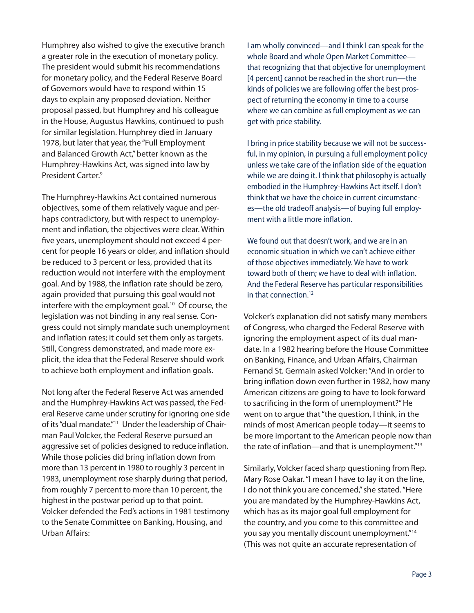Humphrey also wished to give the executive branch a greater role in the execution of monetary policy. The president would submit his recommendations for monetary policy, and the Federal Reserve Board of Governors would have to respond within 15 days to explain any proposed deviation. Neither proposal passed, but Humphrey and his colleague in the House, Augustus Hawkins, continued to push for similar legislation. Humphrey died in January 1978, but later that year, the "Full Employment and Balanced Growth Act," better known as the Humphrey-Hawkins Act, was signed into law by President Carter.9

The Humphrey-Hawkins Act contained numerous objectives, some of them relatively vague and perhaps contradictory, but with respect to unemployment and inflation, the objectives were clear. Within five years, unemployment should not exceed 4 percent for people 16 years or older, and inflation should be reduced to 3 percent or less, provided that its reduction would not interfere with the employment goal. And by 1988, the inflation rate should be zero, again provided that pursuing this goal would not interfere with the employment goal.<sup>10</sup> Of course, the legislation was not binding in any real sense. Congress could not simply mandate such unemployment and inflation rates; it could set them only as targets. Still, Congress demonstrated, and made more explicit, the idea that the Federal Reserve should work to achieve both employment and inflation goals.

Not long after the Federal Reserve Act was amended and the Humphrey-Hawkins Act was passed, the Federal Reserve came under scrutiny for ignoring one side of its "dual mandate."<sup>11</sup> Under the leadership of Chairman Paul Volcker, the Federal Reserve pursued an aggressive set of policies designed to reduce inflation. While those policies did bring inflation down from more than 13 percent in 1980 to roughly 3 percent in 1983, unemployment rose sharply during that period, from roughly 7 percent to more than 10 percent, the highest in the postwar period up to that point. Volcker defended the Fed's actions in 1981 testimony to the Senate Committee on Banking, Housing, and Urban Affairs:

I am wholly convinced—and I think I can speak for the whole Board and whole Open Market Committee that recognizing that that objective for unemployment [4 percent] cannot be reached in the short run—the kinds of policies we are following offer the best prospect of returning the economy in time to a course where we can combine as full employment as we can get with price stability.

I bring in price stability because we will not be successful, in my opinion, in pursuing a full employment policy unless we take care of the inflation side of the equation while we are doing it. I think that philosophy is actually embodied in the Humphrey-Hawkins Act itself. I don't think that we have the choice in current circumstances—the old tradeoff analysis—of buying full employment with a little more inflation.

We found out that doesn't work, and we are in an economic situation in which we can't achieve either of those objectives immediately. We have to work toward both of them; we have to deal with inflation. And the Federal Reserve has particular responsibilities in that connection.12

Volcker's explanation did not satisfy many members of Congress, who charged the Federal Reserve with ignoring the employment aspect of its dual mandate. In a 1982 hearing before the House Committee on Banking, Finance, and Urban Affairs, Chairman Fernand St. Germain asked Volcker: "And in order to bring inflation down even further in 1982, how many American citizens are going to have to look forward to sacrificing in the form of unemployment?" He went on to argue that "the question, I think, in the minds of most American people today—it seems to be more important to the American people now than the rate of inflation—and that is unemployment."<sup>13</sup>

Similarly, Volcker faced sharp questioning from Rep. Mary Rose Oakar. "I mean I have to lay it on the line, I do not think you are concerned," she stated. "Here you are mandated by the Humphrey-Hawkins Act, which has as its major goal full employment for the country, and you come to this committee and you say you mentally discount unemployment."14 (This was not quite an accurate representation of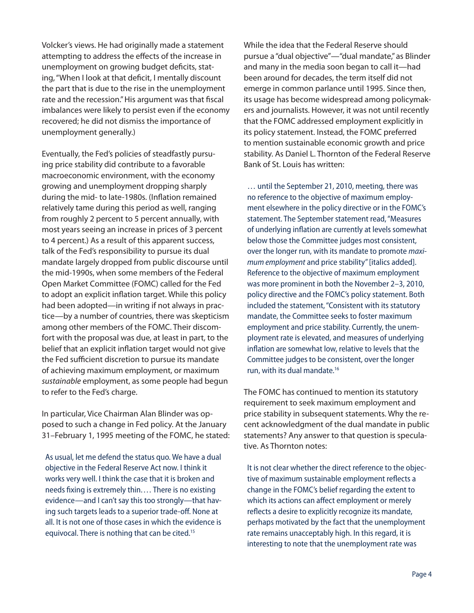Volcker's views. He had originally made a statement attempting to address the effects of the increase in unemployment on growing budget deficits, stating, "When I look at that deficit, I mentally discount the part that is due to the rise in the unemployment rate and the recession." His argument was that fiscal imbalances were likely to persist even if the economy recovered; he did not dismiss the importance of unemployment generally.)

Eventually, the Fed's policies of steadfastly pursuing price stability did contribute to a favorable macroeconomic environment, with the economy growing and unemployment dropping sharply during the mid- to late-1980s. (Inflation remained relatively tame during this period as well, ranging from roughly 2 percent to 5 percent annually, with most years seeing an increase in prices of 3 percent to 4 percent.) As a result of this apparent success, talk of the Fed's responsibility to pursue its dual mandate largely dropped from public discourse until the mid-1990s, when some members of the Federal Open Market Committee (FOMC) called for the Fed to adopt an explicit inflation target. While this policy had been adopted—in writing if not always in practice—by a number of countries, there was skepticism among other members of the FOMC. Their discomfort with the proposal was due, at least in part, to the belief that an explicit inflation target would not give the Fed sufficient discretion to pursue its mandate of achieving maximum employment, or maximum *sustainable* employment, as some people had begun to refer to the Fed's charge.

In particular, Vice Chairman Alan Blinder was opposed to such a change in Fed policy. At the January 31–February 1, 1995 meeting of the FOMC, he stated:

As usual, let me defend the status quo. We have a dual objective in the Federal Reserve Act now. I think it works very well. I think the case that it is broken and needs fixing is extremely thin.… There is no existing evidence—and I can't say this too strongly—that having such targets leads to a superior trade-off. None at all. It is not one of those cases in which the evidence is equivocal. There is nothing that can be cited.<sup>15</sup>

While the idea that the Federal Reserve should pursue a "dual objective"—"dual mandate," as Blinder and many in the media soon began to call it—had been around for decades, the term itself did not emerge in common parlance until 1995. Since then, its usage has become widespread among policymakers and journalists. However, it was not until recently that the FOMC addressed employment explicitly in its policy statement. Instead, the FOMC preferred to mention sustainable economic growth and price stability. As Daniel L. Thornton of the Federal Reserve Bank of St. Louis has written:

… until the September 21, 2010, meeting, there was no reference to the objective of maximum employment elsewhere in the policy directive or in the FOMC's statement. The September statement read, "Measures of underlying inflation are currently at levels somewhat below those the Committee judges most consistent, over the longer run, with its mandate to promote *maximum employment* and price stability" [italics added]. Reference to the objective of maximum employment was more prominent in both the November 2–3, 2010, policy directive and the FOMC's policy statement. Both included the statement, "Consistent with its statutory mandate, the Committee seeks to foster maximum employment and price stability. Currently, the unemployment rate is elevated, and measures of underlying inflation are somewhat low, relative to levels that the Committee judges to be consistent, over the longer run, with its dual mandate.16

The FOMC has continued to mention its statutory requirement to seek maximum employment and price stability in subsequent statements. Why the recent acknowledgment of the dual mandate in public statements? Any answer to that question is speculative. As Thornton notes:

It is not clear whether the direct reference to the objective of maximum sustainable employment reflects a change in the FOMC's belief regarding the extent to which its actions can affect employment or merely reflects a desire to explicitly recognize its mandate, perhaps motivated by the fact that the unemployment rate remains unacceptably high. In this regard, it is interesting to note that the unemployment rate was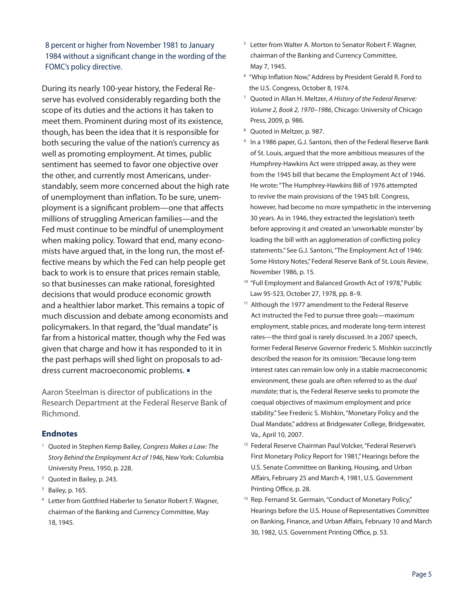## 8 percent or higher from November 1981 to January 1984 without a significant change in the wording of the FOMC's policy directive.

During its nearly 100-year history, the Federal Reserve has evolved considerably regarding both the scope of its duties and the actions it has taken to meet them. Prominent during most of its existence, though, has been the idea that it is responsible for both securing the value of the nation's currency as well as promoting employment. At times, public sentiment has seemed to favor one objective over the other, and currently most Americans, understandably, seem more concerned about the high rate of unemployment than inflation. To be sure, unemployment is a significant problem—one that affects millions of struggling American families—and the Fed must continue to be mindful of unemployment when making policy. Toward that end, many economists have argued that, in the long run, the most effective means by which the Fed can help people get back to work is to ensure that prices remain stable, so that businesses can make rational, foresighted decisions that would produce economic growth and a healthier labor market. This remains a topic of much discussion and debate among economists and policymakers. In that regard, the "dual mandate" is far from a historical matter, though why the Fed was given that charge and how it has responded to it in the past perhaps will shed light on proposals to address current macroeconomic problems.

Aaron Steelman is director of publications in the Research Department at the Federal Reserve Bank of Richmond.

## **Endnotes**

- 1 Quoted in Stephen Kemp Bailey, *Congress Makes a Law: The Story Behind the Employment Act of 1946*, New York: Columbia University Press, 1950, p. 228.
- 2 Quoted in Bailey, p. 243.
- 3 Bailey, p. 165.
- 4 Letter from Gottfried Haberler to Senator Robert F. Wagner, chairman of the Banking and Currency Committee, May 18, 1945.
- <sup>5</sup> Letter from Walter A. Morton to Senator Robert F. Wagner, chairman of the Banking and Currency Committee, May 7, 1945.
- 6 "Whip Inflation Now," Address by President Gerald R. Ford to the U.S. Congress, October 8, 1974.
- 7 Quoted in Allan H. Meltzer, *A History of the Federal Reserve: Volume 2, Book 2, 1970–1986*, Chicago: University of Chicago Press, 2009, p. 986.
- <sup>8</sup> Quoted in Meltzer, p. 987.
- 9 In a 1986 paper, G.J. Santoni, then of the Federal Reserve Bank of St. Louis, argued that the more ambitious measures of the Humphrey-Hawkins Act were stripped away, as they were from the 1945 bill that became the Employment Act of 1946. He wrote: "The Humphrey-Hawkins Bill of 1976 attempted to revive the main provisions of the 1945 bill. Congress, however, had become no more sympathetic in the intervening 30 years. As in 1946, they extracted the legislation's teeth before approving it and created an 'unworkable monster' by loading the bill with an agglomeration of conflicting policy statements." See G.J. Santoni, "The Employment Act of 1946: Some History Notes," Federal Reserve Bank of St. Louis *Review*, November 1986, p. 15.
- 10 "Full Employment and Balanced Growth Act of 1978," Public Law 95-523, October 27, 1978, pp. 8–9.
- <sup>11</sup> Although the 1977 amendment to the Federal Reserve Act instructed the Fed to pursue three goals—maximum employment, stable prices, and moderate long-term interest rates—the third goal is rarely discussed. In a 2007 speech, former Federal Reserve Governor Frederic S. Mishkin succinctly described the reason for its omission: "Because long-term interest rates can remain low only in a stable macroeconomic environment, these goals are often referred to as the *dual mandate*; that is, the Federal Reserve seeks to promote the coequal objectives of maximum employment and price stability." See Frederic S. Mishkin, "Monetary Policy and the Dual Mandate," address at Bridgewater College, Bridgewater, Va., April 10, 2007.
- <sup>12</sup> Federal Reserve Chairman Paul Volcker, "Federal Reserve's First Monetary Policy Report for 1981," Hearings before the U.S. Senate Committee on Banking, Housing, and Urban Affairs, February 25 and March 4, 1981, U.S. Government Printing Office, p. 28.
- <sup>13</sup> Rep. Fernand St. Germain, "Conduct of Monetary Policy," Hearings before the U.S. House of Representatives Committee on Banking, Finance, and Urban Affairs, February 10 and March 30, 1982, U.S. Government Printing Office, p. 53.